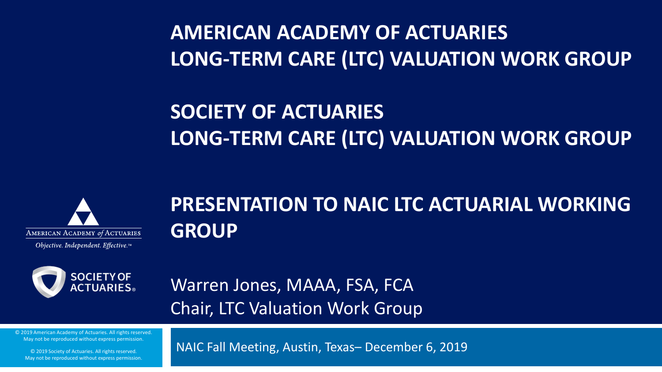#### **AMERICAN ACADEMY OF ACTUARIES LONG-TERM CARE (LTC) VALUATION WORK GROUP**

#### **SOCIETY OF ACTUARIES LONG-TERM CARE (LTC) VALUATION WORK GROUP**



#### **PRESENTATION TO NAIC LTC ACTUARIAL WORKING GROUP**



Warren Jones, MAAA, FSA, FCA Chair, LTC Valuation Work Group

© 2019 American Academy of Actuaries. All rights reserved. May not be reproduced without express permission.

© 2019 Society of Actuaries. All rights reserved. May not be reproduced without express permission. NAIC Fall Meeting, Austin, Texas– December 6, 2019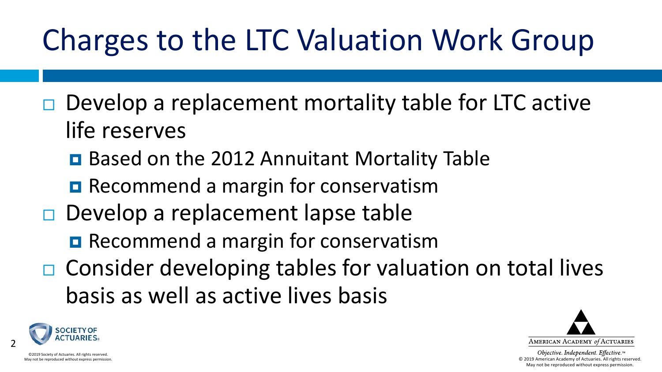# Charges to the LTC Valuation Work Group

- $\Box$  Develop a replacement mortality table for LTC active life reserves
	- Based on the 2012 Annuitant Mortality Table
	- **Recommend a margin for conservatism**
- $\Box$  Develop a replacement lapse table
	- **Recommend a margin for conservatism**
- $\Box$  Consider developing tables for valuation on total lives basis as well as active lives basis



2



Objective. Independent. Effective.™ © 2019 American Academy of Actuaries. All rights reserved. May not be reproduced without express permission.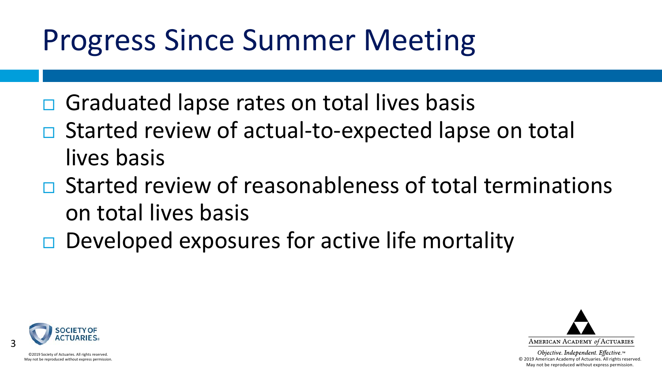## Progress Since Summer Meeting

- $\Box$  Graduated lapse rates on total lives basis
- □ Started review of actual-to-expected lapse on total lives basis
- $\square$  Started review of reasonableness of total terminations on total lives basis
- $\Box$  Developed exposures for active life mortality



3



Objective. Independent. Effective.™ © 2019 American Academy of Actuaries. All rights reserved. May not be reproduced without express permission.

©2019 Society of Actuaries. All rights reserved. May not be reproduced without express permission.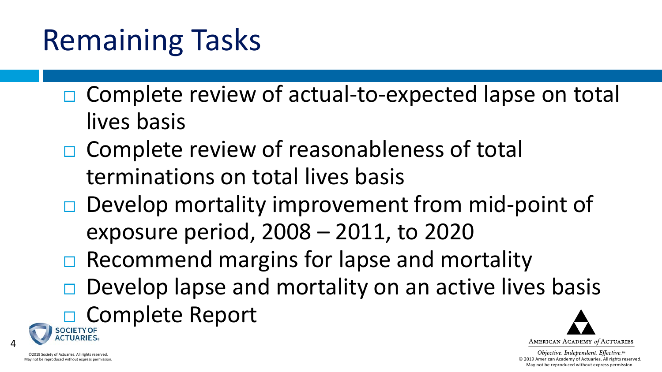# Remaining Tasks

- □ Complete review of actual-to-expected lapse on total lives basis
- □ Complete review of reasonableness of total terminations on total lives basis
- Develop mortality improvement from mid-point of exposure period, 2008 – 2011, to 2020
- □ Recommend margins for lapse and mortality
- $\Box$  Develop lapse and mortality on an active lives basis Complete Report



4



Objective. Independent. Effective.™ © 2019 American Academy of Actuaries. All rights reserved. May not be reproduced without express permission.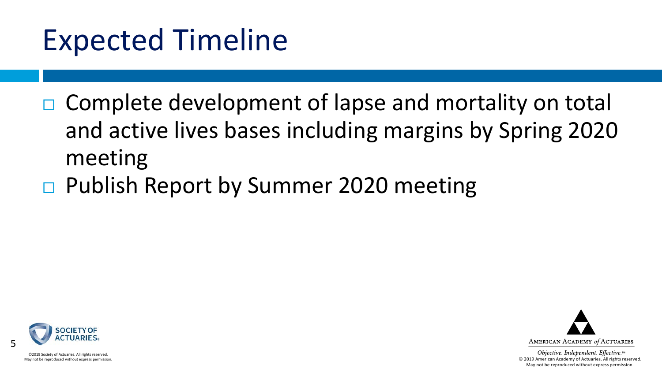## Expected Timeline

□ Complete development of lapse and mortality on total and active lives bases including margins by Spring 2020 meeting

□ Publish Report by Summer 2020 meeting



5

AMERICAN ACADEMY of ACTUARIES

Objective. Independent. Effective. $\nu$ © 2019 American Academy of Actuaries. All rights reserved. May not be reproduced without express permission.